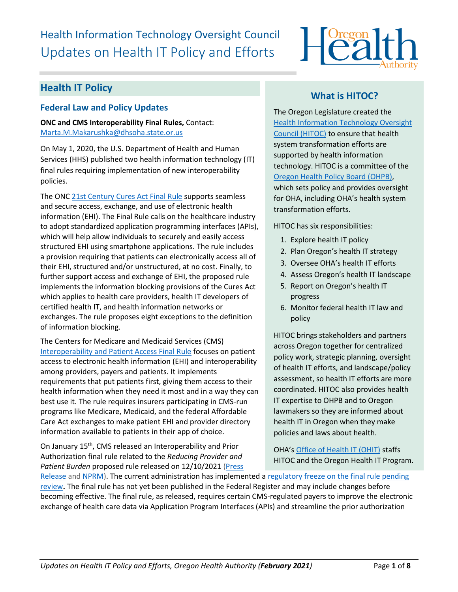# Health Information Technology Oversight Council Updates on Health IT Policy and Efforts



# **Health IT Policy**

### **Federal Law and Policy Updates**

**ONC and CMS Interoperability Final Rules,** Contact: [Marta.M.Makarushka@dhsoha.state.or.us](mailto:Marta.M.Makarushka@dhsoha.state.or.us)

On May 1, 2020, the U.S. Department of Health and Human Services (HHS) published two health information technology (IT) final rules requiring implementation of new interoperability policies.

The ONC [21st Century Cures Act Final Rule](https://www.healthit.gov/curesrule/) supports seamless and secure access, exchange, and use of electronic health information (EHI). The Final Rule calls on the healthcare industry to adopt standardized application programming interfaces (APIs), which will help allow individuals to securely and easily access structured EHI using smartphone applications. The rule includes a provision requiring that patients can electronically access all of their EHI, structured and/or unstructured, at no cost. Finally, to further support access and exchange of EHI, the proposed rule implements the information blocking provisions of the Cures Act which applies to health care providers, health IT developers of certified health IT, and health information networks or exchanges. The rule proposes eight exceptions to the definition of information blocking.

The Centers for Medicare and Medicaid Services (CMS) [Interoperability and Patient Access Final Rule](https://www.govinfo.gov/content/pkg/FR-2020-05-01/pdf/2020-05050.pdf) focuses on patient access to electronic health information (EHI) and interoperability among providers, payers and patients. It implements requirements that put patients first, giving them access to their health information when they need it most and in a way they can best use it. The rule requires insurers participating in CMS-run programs like Medicare, Medicaid, and the federal Affordable Care Act exchanges to make patient EHI and provider directory information available to patients in their app of choice.

On January 15<sup>th</sup>, CMS released an Interoperability and Prior Authorization final rule related to the *Reducing Provider and Patient Burden* proposed rule released on 12/10/2021 [\(Press](https://urldefense.com/v3/__https:/oregon.us2.list-manage.com/track/click?u=24ce6599e0616dc2d3e3ba25d&id=3415c346a8&e=64681c6e8a__;!!OxGzbBZ6!K1IbDKI0AEYOYYStSORQQS52foOc8RKpw5b6wL6yg9SzL7alwMggwieIuikMGrvGcsHr1KooSyhGsHA$) 

### **What is HITOC?**

The Oregon Legislature created the [Health Information Technology Oversight](http://www.oregon.gov/oha/ohpr/hitoc/Pages/index.aspx)  [Council \(HITOC\)](http://www.oregon.gov/oha/ohpr/hitoc/Pages/index.aspx) to ensure that health system transformation efforts are supported by health information technology. HITOC is a committee of the [Oregon Health Policy Board \(OHPB\),](https://www.oregon.gov/OHA/OHPB/Pages/index.aspx) which sets policy and provides oversight for OHA, including OHA's health system transformation efforts.

HITOC has six responsibilities:

- 1. Explore health IT policy
- 2. Plan Oregon's health IT strategy
- 3. Oversee OHA's health IT efforts
- 4. Assess Oregon's health IT landscape
- 5. Report on Oregon's health IT progress
- 6. Monitor federal health IT law and policy

HITOC brings stakeholders and partners across Oregon together for centralized policy work, strategic planning, oversight of health IT efforts, and landscape/policy assessment, so health IT efforts are more coordinated. HITOC also provides health IT expertise to OHPB and to Oregon lawmakers so they are informed about health IT in Oregon when they make policies and laws about health.

OHA's [Office of Health IT](https://www.oregon.gov/oha/HPA/OHIT/Pages/About.aspx) (OHIT) staffs HITOC and the Oregon Health IT Program.

[Release](https://urldefense.com/v3/__https:/oregon.us2.list-manage.com/track/click?u=24ce6599e0616dc2d3e3ba25d&id=3415c346a8&e=64681c6e8a__;!!OxGzbBZ6!K1IbDKI0AEYOYYStSORQQS52foOc8RKpw5b6wL6yg9SzL7alwMggwieIuikMGrvGcsHr1KooSyhGsHA$) and [NPRM\)](https://urldefense.com/v3/__https:/oregon.us2.list-manage.com/track/click?u=24ce6599e0616dc2d3e3ba25d&id=b2524badd3&e=64681c6e8a__;!!OxGzbBZ6!K1IbDKI0AEYOYYStSORQQS52foOc8RKpw5b6wL6yg9SzL7alwMggwieIuikMGrvGcsHr1Koo8guADNM$). The current administration has implemented a regulatory freeze on the final rule pending [review](https://urldefense.com/v3/__https:/oregon.us2.list-manage.com/track/click?u=24ce6599e0616dc2d3e3ba25d&id=003c5a604a&e=64681c6e8a__;!!OxGzbBZ6!K1IbDKI0AEYOYYStSORQQS52foOc8RKpw5b6wL6yg9SzL7alwMggwieIuikMGrvGcsHr1Koo4XTcB-E$)**.** The final rule has not yet been published in the Federal Register and may include changes before becoming effective. The final rule, as released, requires certain CMS-regulated payers to improve the electronic exchange of health care data via Application Program Interfaces (APIs) and streamline the prior authorization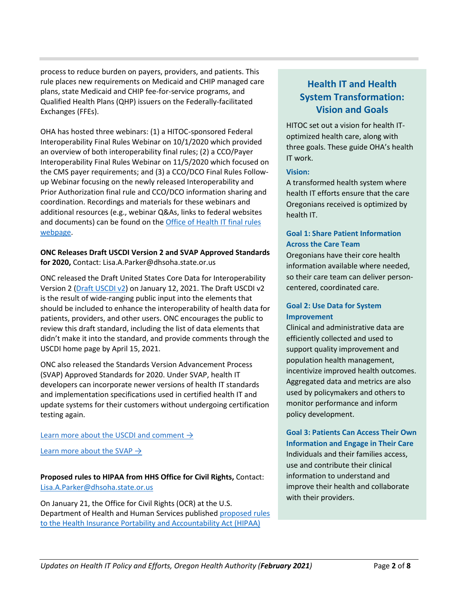process to reduce burden on payers, providers, and patients. This rule places new requirements on Medicaid and CHIP managed care plans, state Medicaid and CHIP fee-for-service programs, and Qualified Health Plans (QHP) issuers on the Federally-facilitated Exchanges (FFEs).

OHA has hosted three webinars: (1) a HITOC-sponsored Federal Interoperability Final Rules Webinar on 10/1/2020 which provided an overview of both interoperability final rules; (2) a CCO/Payer Interoperability Final Rules Webinar on 11/5/2020 which focused on the CMS payer requirements; and (3) a CCO/DCO Final Rules Followup Webinar focusing on the newly released Interoperability and Prior Authorization final rule and CCO/DCO information sharing and coordination. Recordings and materials for these webinars and additional resources (e.g., webinar Q&As, links to federal websites and documents) can be found on th[e Office of Health IT final rules](https://www.oregon.gov/oha/HPA/OHIT-HITOC/Pages/Federal-Rules.aspx)  [webpage.](https://www.oregon.gov/oha/HPA/OHIT-HITOC/Pages/Federal-Rules.aspx)

### **ONC Releases Draft USCDI Version 2 and SVAP Approved Standards for 2020,** Contact: Lisa.A.Parker@dhsoha.state.or.us

ONC released the Draft United States Core Data for Interoperability Version 2 [\(Draft USCDI v2\)](https://urldefense.com/v3/__https:/click.connect.hhs.gov/?qs=ee71690723d1f6573e3fb499c722d6a2f6e38c2eff49434405d25c8dca4f107ade63feae9dfca0465bb503932bcecd8beb204f21220d26ec__;!!OxGzbBZ6!My810tallC64Yxln9Jg5iMMNd9YX1SNPGln_2aIbP4fnjMQAYLhzUZXQk4SFcwZvLYX3P1gjU9I$) on January 12, 2021. The Draft USCDI v2 is the result of wide-ranging public input into the elements that should be included to enhance the interoperability of health data for patients, providers, and other users. ONC encourages the public to review this draft standard, including the list of data elements that didn't make it into the standard, and provide comments through the USCDI home page by April 15, 2021.

ONC also released the Standards Version Advancement Process (SVAP) Approved Standards for 2020. Under SVAP, health IT developers can incorporate newer versions of health IT standards and implementation specifications used in certified health IT and update systems for their customers without undergoing certification testing again.

### Learn more about the USCDI and comment  $\rightarrow$

Learn more about the SVAP  $\rightarrow$ 

**Proposed rules to HIPAA from HHS Office for Civil Rights,** Contact: [Lisa.A.Parker@dhsoha.state.or.us](mailto:Lisa.A.Parker@dhsoha.state.or.us)

On January 21, the Office for Civil Rights (OCR) at the U.S. Department of Health and Human Services published [proposed rules](https://www.federalregister.gov/documents/2021/01/21/2020-27157/proposed-modifications-to-the-hipaa-privacy-rule-to-support-and-remove-barriers-to-coordinated-care)  [to the Health Insurance Portability and Accountability Act \(HIPAA\)](https://www.federalregister.gov/documents/2021/01/21/2020-27157/proposed-modifications-to-the-hipaa-privacy-rule-to-support-and-remove-barriers-to-coordinated-care) 

# **Health IT and Health System Transformation: Vision and Goals**

HITOC set out a vision for health IToptimized health care, along with three goals. These guide OHA's health IT work.

### **Vision:**

A transformed health system where health IT efforts ensure that the care Oregonians received is optimized by health IT.

### **Goal 1: Share Patient Information Across the Care Team**

Oregonians have their core health information available where needed, so their care team can deliver personcentered, coordinated care.

### **Goal 2: Use Data for System Improvement**

Clinical and administrative data are efficiently collected and used to support quality improvement and population health management, incentivize improved health outcomes. Aggregated data and metrics are also used by policymakers and others to monitor performance and inform policy development.

**Goal 3: Patients Can Access Their Own Information and Engage in Their Care**  Individuals and their families access, use and contribute their clinical information to understand and improve their health and collaborate with their providers.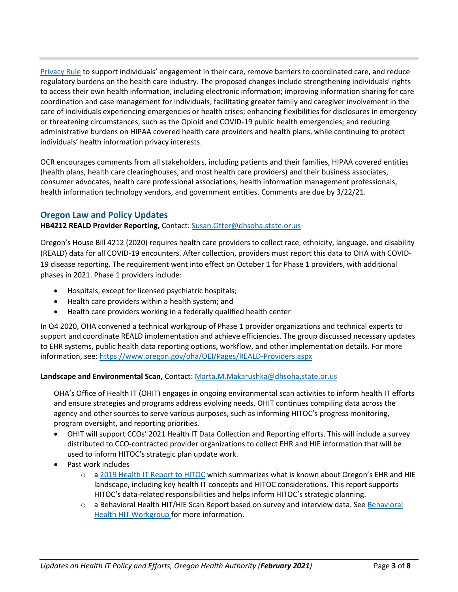[Privacy Rule](https://www.federalregister.gov/documents/2021/01/21/2020-27157/proposed-modifications-to-the-hipaa-privacy-rule-to-support-and-remove-barriers-to-coordinated-care) to support individuals' engagement in their care, remove barriers to coordinated care, and reduce regulatory burdens on the health care industry. The proposed changes include strengthening individuals' rights to access their own health information, including electronic information; improving information sharing for care coordination and case management for individuals; facilitating greater family and caregiver involvement in the care of individuals experiencing emergencies or health crises; enhancing flexibilities for disclosures in emergency or threatening circumstances, such as the Opioid and COVID-19 public health emergencies; and reducing administrative burdens on HIPAA covered health care providers and health plans, while continuing to protect individuals' health information privacy interests.

OCR encourages comments from all stakeholders, including patients and their families, HIPAA covered entities (health plans, health care clearinghouses, and most health care providers) and their business associates, consumer advocates, health care professional associations, health information management professionals, health information technology vendors, and government entities. Comments are due by 3/22/21.

### **Oregon Law and Policy Updates**

### **HB4212 REALD Provider Reporting,** Contact: [Susan.Otter@dhsoha.state.or.us](mailto:Francie.J.Nevill@dhsoha.state.or.us)

Oregon's House Bill 4212 (2020) requires health care providers to collect race, ethnicity, language, and disability (REALD) data for all COVID-19 encounters. After collection, providers must report this data to OHA with COVID-19 disease reporting. The requirement went into effect on October 1 for Phase 1 providers, with additional phases in 2021. Phase 1 providers include:

- Hospitals, except for licensed psychiatric hospitals;
- Health care providers within a health system; and
- Health care providers working in a federally qualified health center

In Q4 2020, OHA convened a technical workgroup of Phase 1 provider organizations and technical experts to support and coordinate REALD implementation and achieve efficiencies. The group discussed necessary updates to EHR systems, public health data reporting options, workflow, and other implementation details. For more information, see:<https://www.oregon.gov/oha/OEI/Pages/REALD-Providers.aspx>

### **Landscape and Environmental Scan,** Contact[: Marta.M.Makarushka@dhsoha.state.or.us](mailto:Marta.M.Makarushka@dhsoha.state.or.us)

OHA's Office of Health IT (OHIT) engages in ongoing environmental scan activities to inform health IT efforts and ensure strategies and programs address evolving needs. OHIT continues compiling data across the agency and other sources to serve various purposes, such as informing HITOC's progress monitoring, program oversight, and reporting priorities.

- OHIT will support CCOs' 2021 Health IT Data Collection and Reporting efforts. This will include a survey distributed to CCO-contracted provider organizations to collect EHR and HIE information that will be used to inform HITOC's strategic plan update work.
- Past work includes
	- o a [2019 Health IT Report to HITOC](https://www.oregon.gov/oha/HPA/OHIT-HITOC/HITOC%20Meeting%20Docs/2019_HIT_Report_for_HITOC_Review.pdf) which summarizes what is known about Oregon's EHR and HIE landscape, including key health IT concepts and HITOC considerations. This report supports HITOC's data-related responsibilities and helps inform HITOC's strategic planning.
	- o a [Behavioral](https://www.oregon.gov/oha/HPA/OHIT-HITOC/Pages/Behavioral-Health-HIT.aspx) Health HIT/HIE Scan Report based on survey and interview data. See Behavioral [Health HIT](https://www.oregon.gov/oha/HPA/OHIT-HITOC/Pages/Behavioral-Health-HIT.aspx) [Workgroup f](https://www.oregon.gov/oha/HPA/OHIT-HITOC/Pages/Behavioral-Health-HIT.aspx)or more information.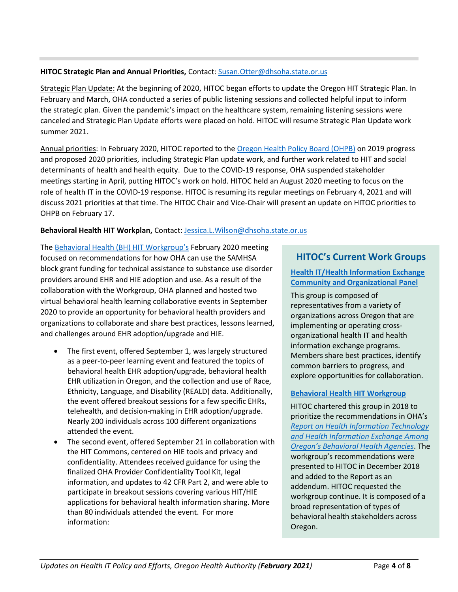### **HITOC Strategic Plan and Annual Priorities,** Contact: [Susan.Otter@dhsoha.state.or.us](mailto:Francie.J.Nevill@dhsoha.state.or.us)

Strategic Plan Update: At the beginning of 2020, HITOC began efforts to update the Oregon HIT Strategic Plan. In February and March, OHA conducted a series of public listening sessions and collected helpful input to inform the strategic plan. Given the pandemic's impact on the healthcare system, remaining listening sessions were canceled and Strategic Plan Update efforts were placed on hold. HITOC will resume Strategic Plan Update work summer 2021.

Annual priorities: In February 2020, HITOC reported to the [Oregon Health Policy Board](https://www.oregon.gov/OHA/OHPB/Pages/OHPB-Meetings.aspx) (OHPB) on 2019 progress and proposed 2020 priorities, including Strategic Plan update work, and further work related to HIT and social determinants of health and health equity. Due to the COVID-19 response, OHA suspended stakeholder meetings starting in April, putting HITOC's work on hold. HITOC held an August 2020 meeting to focus on the role of health IT in the COVID-19 response. HITOC is resuming its regular meetings on February 4, 2021 and will discuss 2021 priorities at that time. The HITOC Chair and Vice-Chair will present an update on HITOC priorities to OHPB on February 17.

### **Behavioral Health HIT Workplan,** Contact: [Jessica.L.Wilson@dhsoha.state.or.us](mailto:Jessica.L.Wilson@dhsoha.state.or.us)

The [Behavioral Health \(BH\) HIT](https://www.oregon.gov/oha/HPA/OHIT-HITOC/Pages/Behavioral-Health-HIT.aspx) Workgroup's February 2020 meeting focused on recommendations for how OHA can use the SAMHSA block grant funding for technical assistance to substance use disorder providers around EHR and HIE adoption and use. As a result of the collaboration with the Workgroup, OHA planned and hosted two virtual behavioral health learning collaborative events in September 2020 to provide an opportunity for behavioral health providers and organizations to collaborate and share best practices, lessons learned, and challenges around EHR adoption/upgrade and HIE.

- The first event, offered September 1, was largely structured as a peer-to-peer learning event and featured the topics of behavioral health EHR adoption/upgrade, behavioral health EHR utilization in Oregon, and the collection and use of Race, Ethnicity, Language, and Disability (REALD) data. Additionally, the event offered breakout sessions for a few specific EHRs, telehealth, and decision-making in EHR adoption/upgrade. Nearly 200 individuals across 100 different organizations attended the event.
- The second event, offered September 21 in collaboration with the HIT Commons, centered on HIE tools and privacy and confidentiality. Attendees received guidance for using the finalized [OHA Provider Confidentiality Tool Kit,](https://sharedsystems.dhsoha.state.or.us/DHSForms/Served/le8271.pdf) legal information, and updates to 42 CFR Part 2, and were able to participate in breakout sessions covering various HIT/HIE applications for behavioral health information sharing. More than 80 individuals attended the event. For more information:

## **HITOC's Current Work Groups**

### **[Health IT/Health Information Exchange](https://www.oregon.gov/oha/HPA/OHIT-HITOC/Pages/HCOP.aspx)  [Community and Organizational Panel](https://www.oregon.gov/oha/HPA/OHIT-HITOC/Pages/HCOP.aspx)**

This group is composed of representatives from a variety of organizations across Oregon that are implementing or operating crossorganizational health IT and health information exchange programs. Members share best practices, identify common barriers to progress, and explore opportunities for collaboration.

### **[Behavioral Health HIT Workgroup](https://www.oregon.gov/oha/HPA/OHIT-HITOC/Pages/Behavioral-Health-HIT.aspx)**

HITOC chartered this group in 2018 to prioritize the recommendations in OHA's *[Report on Health Information Technology](https://www.oregon.gov/oha/HPA/OHIT/Resources/BH%20HIT%20Draft%20Report%2012-1-2017%20for%20HITOC%20Review.pdf)  [and Health Information Exchange Among](https://www.oregon.gov/oha/HPA/OHIT/Resources/BH%20HIT%20Draft%20Report%2012-1-2017%20for%20HITOC%20Review.pdf)  [Oregon's Behavioral Health Agencies](https://www.oregon.gov/oha/HPA/OHIT/Resources/BH%20HIT%20Draft%20Report%2012-1-2017%20for%20HITOC%20Review.pdf)*. The workgroup's recommendations were presented to HITOC in December 2018 and added to the Report as an addendum. HITOC requested the workgroup continue. It is composed of a broad representation of types of behavioral health stakeholders across Oregon.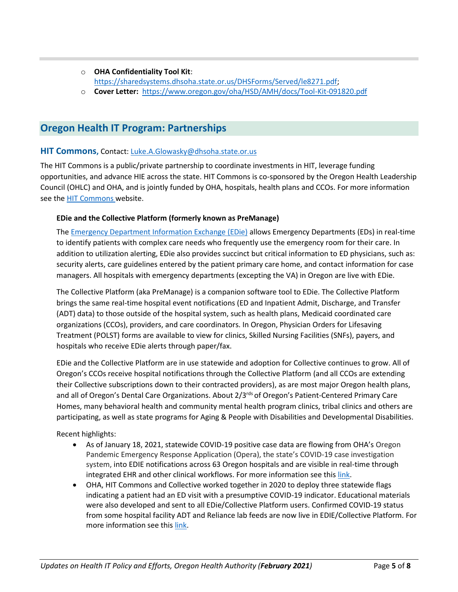- o **OHA Confidentiality Tool Kit**: [https://sharedsystems.dhsoha.state.or.us/DHSForms/Served/le8271.pdf;](https://sharedsystems.dhsoha.state.or.us/DHSForms/Served/le8271.pdf)
- o **Cover Letter:** <https://www.oregon.gov/oha/HSD/AMH/docs/Tool-Kit-091820.pdf>

# **Oregon Health IT Program: Partnerships**

### **HIT Commons,** Contact: [Luke.A.Glowasky@dhsoha.state.or.us](mailto:Luke.A.Glowasky@dhsoha.state.or.us)

The HIT Commons is a public/private partnership to coordinate investments in HIT, leverage funding opportunities, and advance HIE across the state. HIT Commons is co-sponsored by the Oregon Health Leadership Council (OHLC) and OHA, and is jointly funded by OHA, hospitals, health plans and CCOs. For more information see the [HIT Commons w](http://www.orhealthleadershipcouncil.org/hit-commons/)ebsite.

### **EDie and the Collective Platform (formerly known as PreManage)**

Th[e Emergency Department Information Exchange \(EDie\)](http://www.orhealthleadershipcouncil.org/edie/) allows Emergency Departments (EDs) in real-time to identify patients with complex care needs who frequently use the emergency room for their care. In addition to utilization alerting, EDie also provides succinct but critical information to ED physicians, such as: security alerts, care guidelines entered by the patient primary care home, and contact information for case managers. All hospitals with emergency departments (excepting the VA) in Oregon are live with EDie.

The Collective Platform (aka PreManage) is a companion software tool to EDie. The Collective Platform brings the same real-time hospital event notifications (ED and Inpatient Admit, Discharge, and Transfer (ADT) data) to those outside of the hospital system, such as health plans, Medicaid coordinated care organizations (CCOs), providers, and care coordinators. In Oregon, Physician Orders for Lifesaving Treatment (POLST) forms are available to view for clinics, Skilled Nursing Facilities (SNFs), payers, and hospitals who receive EDie alerts through paper/fax.

EDie and the Collective Platform are in use statewide and adoption for Collective continues to grow. All of Oregon's CCOs receive hospital notifications through the Collective Platform (and all CCOs are extending their Collective subscriptions down to their contracted providers), as are most major Oregon health plans, and all of Oregon's Dental Care Organizations. About 2/3<sup>rds</sup> of Oregon's Patient-Centered Primary Care Homes, many behavioral health and community mental health program clinics, tribal clinics and others are participating, as well as state programs for Aging & People with Disabilities and Developmental Disabilities.

Recent highlights:

- As of January 18, 2021, statewide COVID-19 positive case data are flowing from OHA's Oregon Pandemic Emergency Response Application (Opera), the state's COVID-19 case investigation system, into EDIE notifications across 63 Oregon hospitals and are visible in real-time through integrated EHR and other clinical workflows. For more information see thi[s link.](http://www.orhealthleadershipcouncil.org/wp-content/uploads/2021/01/Statewide-COVID-Positive-Notifications-Email-and-Collective-Version-Final-1-18-21-1.pdf)
- OHA, HIT Commons and Collective worked together in 2020 to deploy three statewide flags indicating a patient had an ED visit with a presumptive COVID-19 indicator. Educational materials were also developed and sent to all EDie/Collective Platform users. Confirmed COVID-19 status from some hospital facility ADT and Reliance lab feeds are now live in EDIE/Collective Platform. For more information see thi[s link.](http://www.orhealthleadershipcouncil.org/covid-19-resources-for-collective-platform/)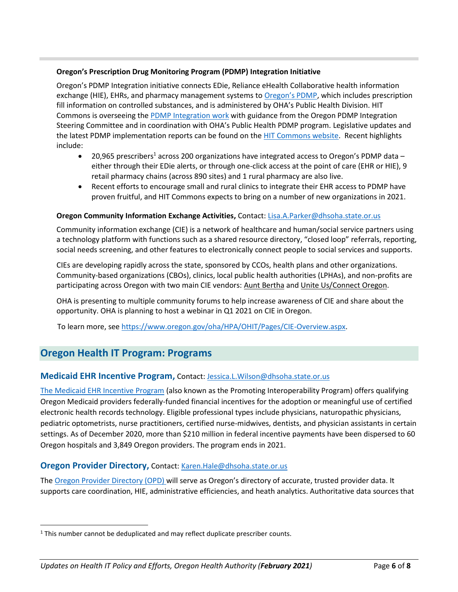### **Oregon's Prescription Drug Monitoring Program (PDMP) Integration Initiative**

Oregon's PDMP Integration initiative connects EDie, Reliance eHealth Collaborative health information exchange (HIE), EHRs, and pharmacy management systems to [Oregon's PDMP](http://www.orpdmp.com/), which includes prescription fill information on controlled substances, and is administered by OHA's Public Health Division. HIT Commons is overseeing the [PDMP Integration work](http://www.orhealthleadershipcouncil.org/pdmp-integration/) with guidance from the Oregon PDMP Integration Steering Committee and in coordination with OHA's Public Health PDMP program. Legislative updates and the latest PDMP implementation reports can be found on the **HIT Commons website**. Recent highlights include:

- 20,965 prescribers<sup>1</sup> across 200 organizations have integrated access to Oregon's PDMP data either through their EDie alerts, or through one-click access at the point of care (EHR or HIE), 9 retail pharmacy chains (across 890 sites) and 1 rural pharmacy are also live.
- Recent efforts to encourage small and rural clinics to integrate their EHR access to PDMP have proven fruitful, and HIT Commons expects to bring on a number of new organizations in 2021.

### **Oregon Community Information Exchange Activities,** Contact: [Lisa.A.Parker@dhsoha.state.or.us](mailto:Lisa.A.Parker@dhsoha.state.or.us)

Community information exchange (CIE) is a network of healthcare and human/social service partners using a technology platform with functions such as a shared resource directory, "closed loop" referrals, reporting, social needs screening, and other features to electronically connect people to social services and supports.

CIEs are developing rapidly across the state, sponsored by CCOs, health plans and other organizations. Community-based organizations (CBOs), clinics, local public health authorities (LPHAs), and non-profits are participating across Oregon with two main CIE vendors: [Aunt Bertha](https://company.auntbertha.com/) and [Unite Us/Connect Oregon.](https://oregon.uniteus.com/)

OHA is presenting to multiple community forums to help increase awareness of CIE and share about the opportunity. OHA is planning to host a webinar in Q1 2021 on CIE in Oregon.

To learn more, se[e https://www.oregon.gov/oha/HPA/OHIT/Pages/CIE-Overview.aspx.](https://www.oregon.gov/oha/HPA/OHIT/Pages/CIE-Overview.aspx)

# **Oregon Health IT Program: Programs**

### **Medicaid EHR Incentive Program,** Contact: [Jessica.L.Wilson@dhsoha.state.or.us](mailto:Jessica.L.Wilson@dhsoha.state.or.us)

[The Medicaid EHR Incentive Program](https://www.oregon.gov/oha/MHIT/pages/index.aspx) (also known as the Promoting Interoperability Program) offers qualifying Oregon Medicaid providers federally-funded financial incentives for the adoption or meaningful use of certified electronic health records technology. Eligible professional types include physicians, naturopathic physicians, pediatric optometrists, nurse practitioners, certified nurse-midwives, dentists, and physician assistants in certain settings. As of December 2020, more than \$210 million in federal incentive payments have been dispersed to 60 Oregon hospitals and 3,849 Oregon providers. The program ends in 2021.

### **Oregon Provider Directory,** Contact: [Karen.Hale@dhsoha.state.or.us](mailto:Karen.Hale@dhsoha.state.or.us)

The [Oregon Provider Directory \(](https://www.oregon.gov/oha/HPA/OHIT/Pages/PD-Overview.aspx)OPD) will serve as Oregon's directory of accurate, trusted provider data. It supports care coordination, HIE, administrative efficiencies, and heath analytics. Authoritative data sources that

<sup>&</sup>lt;sup>1</sup> This number cannot be deduplicated and may reflect duplicate prescriber counts.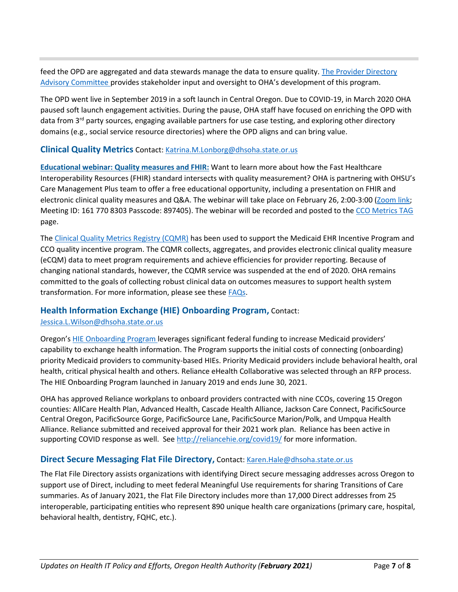feed the OPD are aggregated and data stewards manage the data to ensure quality. [The Provider Directory](https://www.oregon.gov/oha/HPA/OHIT/Pages/PDAC.aspx)  [Advisory Committee p](https://www.oregon.gov/oha/HPA/OHIT/Pages/PDAC.aspx)rovides stakeholder input and oversight to OHA's development of this program.

The OPD went live in September 2019 in a soft launch in Central Oregon. Due to COVID-19, in March 2020 OHA paused soft launch engagement activities. During the pause, OHA staff have focused on enriching the OPD with data from 3<sup>rd</sup> party sources, engaging available partners for use case testing, and exploring other directory domains (e.g., social service resource directories) where the OPD aligns and can bring value.

### **Clinical Quality Metrics** Contact: [Katrina.M.Lonborg@dhsoha.state.or.us](mailto:Katrina.M.Lonborg@dhsoha.state.or.us)

**Educational webinar: Quality measures and FHIR:** Want to learn more about how the Fast Healthcare Interoperability Resources (FHIR) standard intersects with quality measurement? OHA is partnering with OHSU's Care Management Plus team to offer a free educational opportunity, including a presentation on FHIR and electronic clinical quality measures and Q&A. The webinar will take place on February 26, 2:00-3:00 [\(Zoom link;](https://www.zoomgov.com/j/1617708303?pwd=aEVXdXpjcFFsSUhBejFvYTRPRWRjUT09) Meeting ID: 161 770 8303 Passcode: 897405). The webinar will be recorded and posted to the [CCO Metrics TAG](https://www.oregon.gov/oha/HPA/ANALYTICS/Pages/Metrics-Technical-Advisory-Group-Archives.aspx) page.

The Clinical [Quality Metrics Registry \(CQMR\)](https://www.oregon.gov/oha/HPA/OHIT/Pages/CQMR.aspx) has been used to support the Medicaid EHR Incentive Program and CCO quality incentive program. The CQMR collects, aggregates, and provides electronic clinical quality measure (eCQM) data to meet program requirements and achieve efficiencies for provider reporting. Because of changing national standards, however, the CQMR service was suspended at the end of 2020. OHA remains committed to the goals of collecting robust clinical data on outcomes measures to support health system transformation. For more information, please see these **FAQs**.

### **Health Information Exchange (HIE) Onboarding Program,** Contact:

### [Jessica.L.Wilson@dhsoha.state.or.us](mailto:Jessica.L.Wilson@dhsoha.state.or.us)

Oregon's [HIE Onboarding Program l](https://www.oregon.gov/oha/HPA/OHIT/Pages/HIE-onboarding.aspx)everages significant federal funding to increase Medicaid providers' capability to exchange health information. The Program supports the initial costs of connecting (onboarding) priority Medicaid providers to community-based HIEs. Priority Medicaid providers include behavioral health, oral health, critical physical health and others. Reliance eHealth Collaborative was selected through an RFP process. The HIE Onboarding Program launched in January 2019 and ends June 30, 2021.

OHA has approved Reliance workplans to onboard providers contracted with nine CCOs, covering 15 Oregon counties: AllCare Health Plan, Advanced Health, Cascade Health Alliance, Jackson Care Connect, PacificSource Central Oregon, PacificSource Gorge, PacificSource Lane, PacificSource Marion/Polk, and Umpqua Health Alliance. Reliance submitted and received approval for their 2021 work plan. Reliance has been active in supporting COVID response as well. See<http://reliancehie.org/covid19/> for more information.

### **Direct Secure Messaging Flat File Directory, Contact: [Karen.Hale@dhsoha.state.or.us](mailto:Karen.Hale@dhsoha.state.or.us)**

The Flat File Directory assists organizations with identifying Direct secure messaging addresses across Oregon to support use of Direct, including to meet federal Meaningful Use requirements for sharing Transitions of Care summaries. As of January 2021, the Flat File Directory includes more than 17,000 Direct addresses from 25 interoperable, participating entities who represent 890 unique health care organizations (primary care, hospital, behavioral health, dentistry, FQHC, etc.).